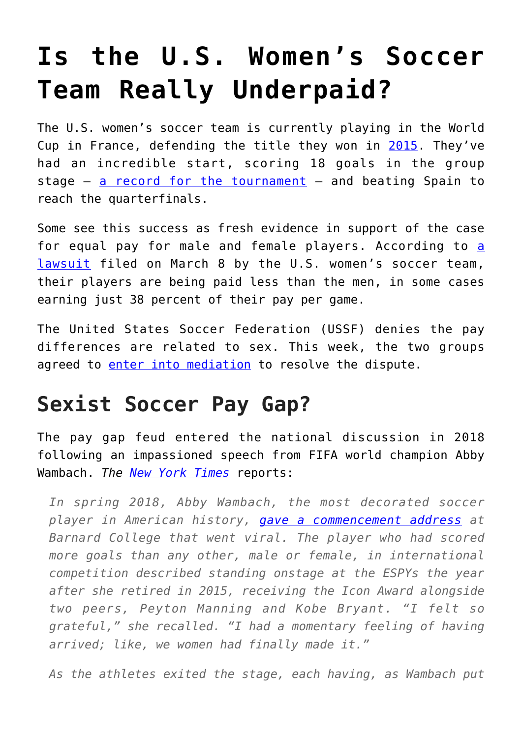## **[Is the U.S. Women's Soccer](https://intellectualtakeout.org/2019/06/is-the-u-s-womens-soccer-team-really-underpaid/) [Team Really Underpaid?](https://intellectualtakeout.org/2019/06/is-the-u-s-womens-soccer-team-really-underpaid/)**

The U.S. women's soccer team is currently playing in the World Cup in France, defending the title they won in [2015.](https://en.wikipedia.org/wiki/2015_FIFA_Women%27s_World_Cup) They've had an incredible start, scoring 18 goals in the group stage  $-$  [a record for the tournament](https://www.bbc.com/sport/live/football/47180539)  $-$  and beating Spain to reach the quarterfinals.

Some see this success as fresh evidence in support of the case for equ[a](https://www.theatlantic.com/entertainment/archive/2019/03/why-the-us-national-womens-soccer-team-is-suing/585202/)l pay for male and female players. According to a [lawsuit](https://www.theatlantic.com/entertainment/archive/2019/03/why-the-us-national-womens-soccer-team-is-suing/585202/) filed on March 8 by the U.S. women's soccer team, their players are being paid less than the men, in some cases earning just 38 percent of their pay per game.

The United States Soccer Federation (USSF) denies the pay differences are related to sex. This week, the two groups agreed to [enter into mediation](https://www.cnbc.com/2019/06/24/us-womens-soccer-team-and-soccer-federation-will-enter-mediation.html) to resolve the dispute.

## **Sexist Soccer Pay Gap?**

The pay gap feud entered the national discussion in 2018 following an impassioned speech from FIFA world champion Abby Wambach. *The [New York Times](https://www.nytimes.com/2019/06/10/magazine/womens-soccer-inequality-pay.html)* reports:

*In spring 2018, Abby Wambach, the most decorated soccer player in American history, [gave a commencement address](https://www.youtube.com/watch?v=wJe40l2waxs) at Barnard College that went viral. The player who had scored more goals than any other, male or female, in international competition described standing onstage at the ESPYs the year after she retired in 2015, receiving the Icon Award alongside two peers, Peyton Manning and Kobe Bryant. "I felt so grateful," she recalled. "I had a momentary feeling of having arrived; like, we women had finally made it."*

*As the athletes exited the stage, each having, as Wambach put*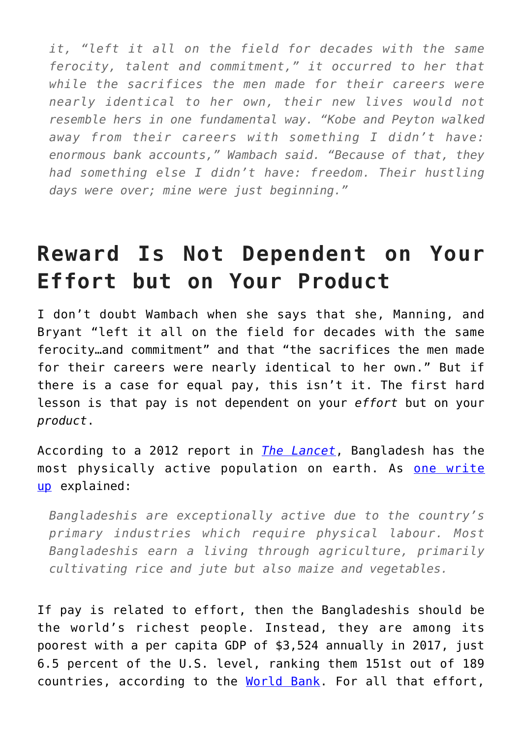*it, "left it all on the field for decades with the same ferocity, talent and commitment," it occurred to her that while the sacrifices the men made for their careers were nearly identical to her own, their new lives would not resemble hers in one fundamental way. "Kobe and Peyton walked away from their careers with something I didn't have: enormous bank accounts," Wambach said. "Because of that, they had something else I didn't have: freedom. Their hustling days were over; mine were just beginning."*

## **Reward Is Not Dependent on Your Effort but on Your Product**

I don't doubt Wambach when she says that she, Manning, and Bryant "left it all on the field for decades with the same ferocity…and commitment" and that "the sacrifices the men made for their careers were nearly identical to her own." But if there is a case for equal pay, this isn't it. The first hard lesson is that pay is not dependent on your *effort* but on your *product*.

According to a 2012 report in *[The Lancet](http://www.thelancet.com/journals/lancet/article/PIIS0140-6736(12)60646-1/abstract)*, Bangladesh has the most physically active population on earth. As [one write](https://www.therichest.com/rich-list/the-biggest/the-top-10-most-physically-active-nations/) [up](https://www.therichest.com/rich-list/the-biggest/the-top-10-most-physically-active-nations/) explained:

*Bangladeshis are exceptionally active due to the country's primary industries which require physical labour. Most Bangladeshis earn a living through agriculture, primarily cultivating rice and jute but also maize and vegetables.*

If pay is related to effort, then the Bangladeshis should be the world's richest people. Instead, they are among its poorest with a per capita GDP of \$3,524 annually in 2017, just 6.5 percent of the U.S. level, ranking them 151st out of 189 countries, according to the [World Bank](https://databank.worldbank.org/data/source/world-development-indicators). For all that effort,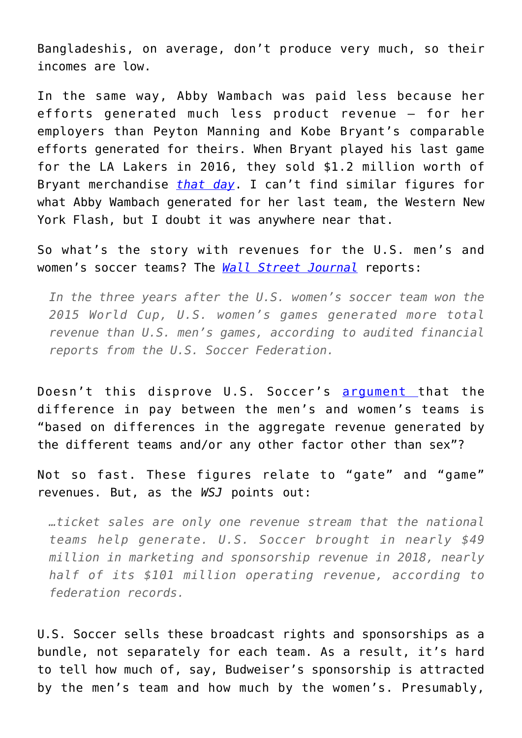Bangladeshis, on average, don't produce very much, so their incomes are low.

In the same way, Abby Wambach was paid less because her efforts generated much less product revenue – for her employers than Peyton Manning and Kobe Bryant's comparable efforts generated for theirs. When Bryant played his last game for the LA Lakers in 2016, they sold \$1.2 million worth of Bryant merchandise *[that day](https://www.espn.com/nba/story/_/id/15203007/staples-center-sells-12-million-worth-kobe-bryant-merchandise-set-one-day-record)*. I can't find similar figures for what Abby Wambach generated for her last team, the Western New York Flash, but I doubt it was anywhere near that.

So what's the story with revenues for the U.S. men's and women's soccer teams? The *[Wall Street Journal](https://www.wsj.com/articles/u-s-womens-soccer-games-out-earned-mens-games-11560765600)* reports:

*In the three years after the U.S. women's soccer team won the 2015 World Cup, U.S. women's games generated more total revenue than U.S. men's games, according to audited financial reports from the U.S. Soccer Federation.*

Doesn't this disprove U.S. Soccer's [argument t](https://www.cnbc.com/2019/06/19/us-womens-soccer-games-now-generate-more-revenue-than-mens.html)hat the difference in pay between the men's and women's teams is "based on differences in the aggregate revenue generated by the different teams and/or any other factor other than sex"?

Not so fast. These figures relate to "gate" and "game" revenues. But, as the *WSJ* points out:

*…ticket sales are only one revenue stream that the national teams help generate. U.S. Soccer brought in nearly \$49 million in marketing and sponsorship revenue in 2018, nearly half of its \$101 million operating revenue, according to federation records.*

U.S. Soccer sells these broadcast rights and sponsorships as a bundle, not separately for each team. As a result, it's hard to tell how much of, say, Budweiser's sponsorship is attracted by the men's team and how much by the women's. Presumably,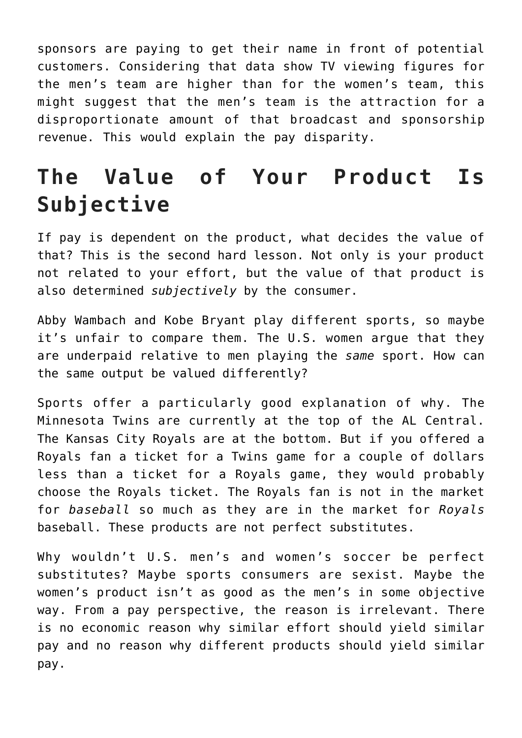sponsors are paying to get their name in front of potential customers. Considering that data show TV viewing figures for the men's team are higher than for the women's team, this might suggest that the men's team is the attraction for a disproportionate amount of that broadcast and sponsorship revenue. This would explain the pay disparity.

## **The Value of Your Product Is Subjective**

If pay is dependent on the product, what decides the value of that? This is the second hard lesson. Not only is your product not related to your effort, but the value of that product is also determined *subjectively* by the consumer.

Abby Wambach and Kobe Bryant play different sports, so maybe it's unfair to compare them. The U.S. women argue that they are underpaid relative to men playing the *same* sport. How can the same output be valued differently?

Sports offer a particularly good explanation of why. The Minnesota Twins are currently at the top of the AL Central. The Kansas City Royals are at the bottom. But if you offered a Royals fan a ticket for a Twins game for a couple of dollars less than a ticket for a Royals game, they would probably choose the Royals ticket. The Royals fan is not in the market for *baseball* so much as they are in the market for *Royals* baseball. These products are not perfect substitutes.

Why wouldn't U.S. men's and women's soccer be perfect substitutes? Maybe sports consumers are sexist. Maybe the women's product isn't as good as the men's in some objective way. From a pay perspective, the reason is irrelevant. There is no economic reason why similar effort should yield similar pay and no reason why different products should yield similar pay.